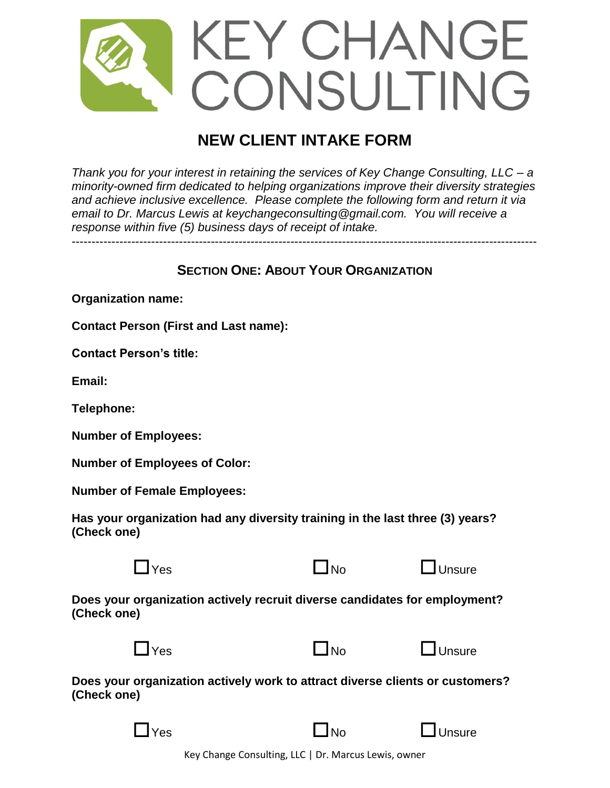

# **NEW CLIENT INTAKE FORM**

*Thank you for your interest in retaining the services of Key Change Consulting, LLC – a minority-owned firm dedicated to helping organizations improve their diversity strategies and achieve inclusive excellence. Please complete the following form and return it via email to Dr. Marcus Lewis at keychangeconsulting@gmail.com. You will receive a response within five (5) business days of receipt of intake.* 

# **SECTION ONE: ABOUT YOUR ORGANIZATION**

**Organization name:**

**Contact Person (First and Last name):**

**Contact Person's title:**

**Email:**

**Telephone:**

**Number of Employees:**

**Number of Employees of Color:**

**Number of Female Employees:**

**Has your organization had any diversity training in the last three (3) years? (Check one)**



 $\Box$ Yes  $\Box$ No  $\Box$ Unsure

**Does your organization actively recruit diverse candidates for employment? (Check one)**



**Does your organization actively work to attract diverse clients or customers? (Check one)**

| ۰. |
|----|

 $\Box$ No  $\Box$ Unsure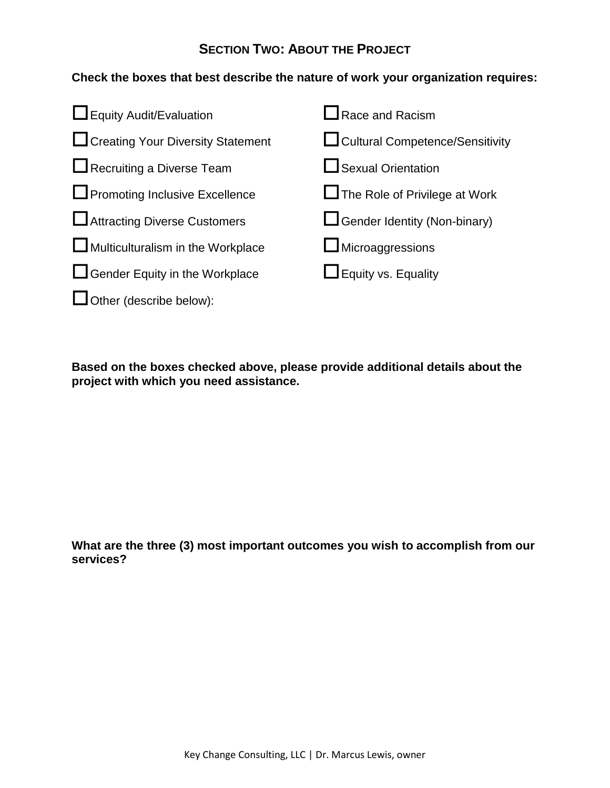# **SECTION TWO: ABOUT THE PROJECT**

## **Check the boxes that best describe the nature of work your organization requires:**



**Based on the boxes checked above, please provide additional details about the project with which you need assistance.**

**What are the three (3) most important outcomes you wish to accomplish from our services?**